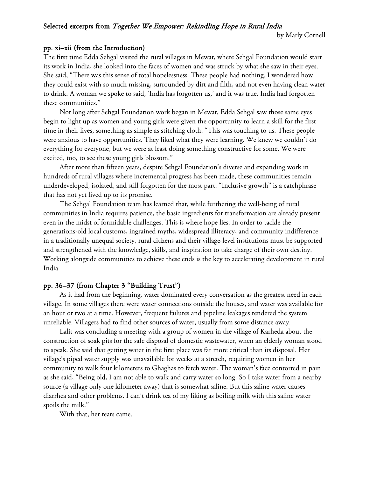by Marly Cornell

## pp. xi--xii (from the Introduction)

The first time Edda Sehgal visited the rural villages in Mewat, where Sehgal Foundation would start its work in India, she looked into the faces of women and was struck by what she saw in their eyes. She said, ''There was this sense of total hopelessness. These people had nothing. I wondered how they could exist with so much missing, surrounded by dirt and filth, and not even having clean water to drink. A woman we spoke to said, 'India has forgotten us,' and it was true. India had forgotten these communities.''

Not long after Sehgal Foundation work began in Mewat, Edda Sehgal saw those same eyes begin to light up as women and young girls were given the opportunity to learn a skill for the first time in their lives, something as simple as stitching cloth. ''This was touching to us. These people were anxious to have opportunities. They liked what they were learning. We knew we couldn't do everything for everyone, but we were at least doing something constructive for some. We were excited, too, to see these young girls blossom.''

After more than fifteen years, despite Sehgal Foundation's diverse and expanding work in hundreds of rural villages where incremental progress has been made, these communities remain underdeveloped, isolated, and still forgotten for the most part. ''Inclusive growth'' is a catchphrase that has not yet lived up to its promise.

The Sehgal Foundation team has learned that, while furthering the well-being of rural communities in India requires patience, the basic ingredients for transformation are already present even in the midst of formidable challenges. This is where hope lies. In order to tackle the generations-old local customs, ingrained myths, widespread illiteracy, and community indifference in a traditionally unequal society, rural citizens and their village-level institutions must be supported and strengthened with the knowledge, skills, and inspiration to take charge of their own destiny. Working alongside communities to achieve these ends is the key to accelerating development in rural India.

## pp. 36--37 (from Chapter 3 ''Building Trust'')

As it had from the beginning, water dominated every conversation as the greatest need in each village. In some villages there were water connections outside the houses, and water was available for an hour or two at a time. However, frequent failures and pipeline leakages rendered the system unreliable. Villagers had to find other sources of water, usually from some distance away.

Lalit was concluding a meeting with a group of women in the village of Karheda about the construction of soak pits for the safe disposal of domestic wastewater, when an elderly woman stood to speak. She said that getting water in the first place was far more critical than its disposal. Her village's piped water supply was unavailable for weeks at a stretch, requiring women in her community to walk four kilometers to Ghaghas to fetch water. The woman's face contorted in pain as she said, ''Being old, I am not able to walk and carry water so long. So I take water from a nearby source (a village only one kilometer away) that is somewhat saline. But this saline water causes diarrhea and other problems. I can't drink tea of my liking as boiling milk with this saline water spoils the milk.''

With that, her tears came.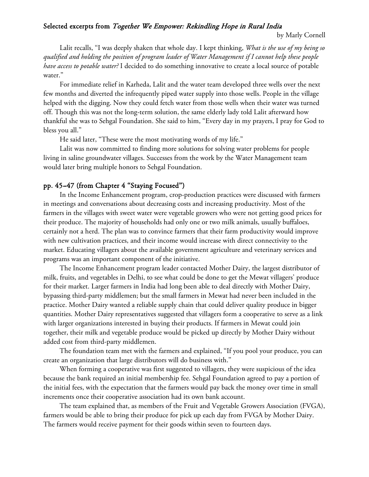by Marly Cornell

Lalit recalls, ''I was deeply shaken that whole day. I kept thinking, *What is the use of my being so qualified and holding the position of program leader of Water Management if I cannot help these people have access to potable water?* I decided to do something innovative to create a local source of potable water."

For immediate relief in Karheda, Lalit and the water team developed three wells over the next few months and diverted the infrequently piped water supply into those wells. People in the village helped with the digging. Now they could fetch water from those wells when their water was turned off. Though this was not the long-term solution, the same elderly lady told Lalit afterward how thankful she was to Sehgal Foundation. She said to him, ''Every day in my prayers, I pray for God to bless you all.''

He said later, "These were the most motivating words of my life."

Lalit was now committed to finding more solutions for solving water problems for people living in saline groundwater villages. Successes from the work by the Water Management team would later bring multiple honors to Sehgal Foundation.

# pp. 45-47 (from Chapter 4 "Staying Focused")

In the Income Enhancement program, crop-production practices were discussed with farmers in meetings and conversations about decreasing costs and increasing productivity. Most of the farmers in the villages with sweet water were vegetable growers who were not getting good prices for their produce. The majority of households had only one or two milk animals, usually buffaloes, certainly not a herd. The plan was to convince farmers that their farm productivity would improve with new cultivation practices, and their income would increase with direct connectivity to the market. Educating villagers about the available government agriculture and veterinary services and programs was an important component of the initiative.

The Income Enhancement program leader contacted Mother Dairy, the largest distributor of milk, fruits, and vegetables in Delhi, to see what could be done to get the Mewat villagers' produce for their market. Larger farmers in India had long been able to deal directly with Mother Dairy, bypassing third-party middlemen; but the small farmers in Mewat had never been included in the practice. Mother Dairy wanted a reliable supply chain that could deliver quality produce in bigger quantities. Mother Dairy representatives suggested that villagers form a cooperative to serve as a link with larger organizations interested in buying their products. If farmers in Mewat could join together, their milk and vegetable produce would be picked up directly by Mother Dairy without added cost from third-party middlemen.

The foundation team met with the farmers and explained, ''If you pool your produce, you can create an organization that large distributors will do business with.''

When forming a cooperative was first suggested to villagers, they were suspicious of the idea because the bank required an initial membership fee. Sehgal Foundation agreed to pay a portion of the initial fees, with the expectation that the farmers would pay back the money over time in small increments once their cooperative association had its own bank account.

The team explained that, as members of the Fruit and Vegetable Growers Association (FVGA), farmers would be able to bring their produce for pick up each day from FVGA by Mother Dairy. The farmers would receive payment for their goods within seven to fourteen days.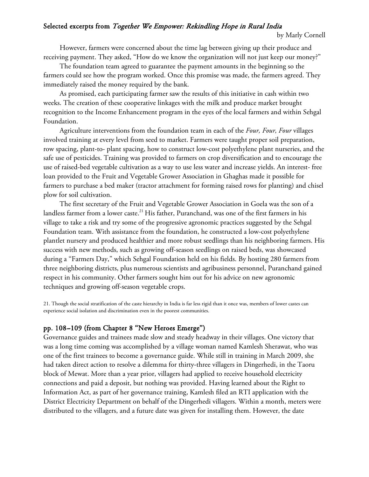by Marly Cornell

However, farmers were concerned about the time lag between giving up their produce and receiving payment. They asked, "How do we know the organization will not just keep our money?"

The foundation team agreed to guarantee the payment amounts in the beginning so the farmers could see how the program worked. Once this promise was made, the farmers agreed. They immediately raised the money required by the bank.

As promised, each participating farmer saw the results of this initiative in cash within two weeks. The creation of these cooperative linkages with the milk and produce market brought recognition to the Income Enhancement program in the eyes of the local farmers and within Sehgal Foundation.

Agriculture interventions from the foundation team in each of the *Four, Four, Four* villages involved training at every level from seed to market. Farmers were taught proper soil preparation, row spacing, plant-to- plant spacing, how to construct low-cost polyethylene plant nurseries, and the safe use of pesticides. Training was provided to farmers on crop diversification and to encourage the use of raised-bed vegetable cultivation as a way to use less water and increase yields. An interest- free loan provided to the Fruit and Vegetable Grower Association in Ghaghas made it possible for farmers to purchase a bed maker (tractor attachment for forming raised rows for planting) and chisel plow for soil cultivation.

The first secretary of the Fruit and Vegetable Grower Association in Goela was the son of a landless farmer from a lower caste.<sup>21</sup> His father, Puranchand, was one of the first farmers in his village to take a risk and try some of the progressive agronomic practices suggested by the Sehgal Foundation team. With assistance from the foundation, he constructed a low-cost polyethylene plantlet nursery and produced healthier and more robust seedlings than his neighboring farmers. His success with new methods, such as growing off-season seedlings on raised beds, was showcased during a ''Farmers Day,'' which Sehgal Foundation held on his fields. By hosting 280 farmers from three neighboring districts, plus numerous scientists and agribusiness personnel, Puranchand gained respect in his community. Other farmers sought him out for his advice on new agronomic techniques and growing off-season vegetable crops.

21. Though the social stratification of the caste hierarchy in India is far less rigid than it once was, members of lower castes can experience social isolation and discrimination even in the poorest communities.

# pp. 108--109 (from Chapter 8 ''New Heroes Emerge'')

Governance guides and trainees made slow and steady headway in their villages. One victory that was a long time coming was accomplished by a village woman named Kamlesh Sherawat, who was one of the first trainees to become a governance guide. While still in training in March 2009, she had taken direct action to resolve a dilemma for thirty-three villagers in Dingerhedi, in the Taoru block of Mewat. More than a year prior, villagers had applied to receive household electricity connections and paid a deposit, but nothing was provided. Having learned about the Right to Information Act, as part of her governance training, Kamlesh filed an RTI application with the District Electricity Department on behalf of the Dingerhedi villagers. Within a month, meters were distributed to the villagers, and a future date was given for installing them. However, the date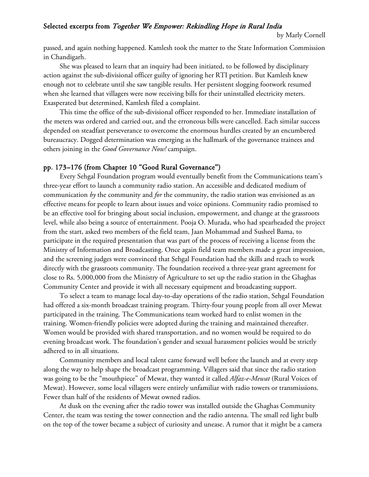passed, and again nothing happened. Kamlesh took the matter to the State Information Commission in Chandigarh.

She was pleased to learn that an inquiry had been initiated, to be followed by disciplinary action against the sub-divisional officer guilty of ignoring her RTI petition. But Kamlesh knew enough not to celebrate until she saw tangible results. Her persistent slogging footwork resumed when she learned that villagers were now receiving bills for their uninstalled electricity meters. Exasperated but determined, Kamlesh filed a complaint.

This time the office of the sub-divisional officer responded to her. Immediate installation of the meters was ordered and carried out, and the erroneous bills were cancelled. Each similar success depended on steadfast perseverance to overcome the enormous hurdles created by an encumbered bureaucracy. Dogged determination was emerging as the hallmark of the governance trainees and others joining in the *Good Governance Now!* campaign.

### pp. 173--176 (from Chapter 10 ''Good Rural Governance'')

Every Sehgal Foundation program would eventually benefit from the Communications team's three-year effort to launch a community radio station. An accessible and dedicated medium of communication *by* the community and *for* the community, the radio station was envisioned as an effective means for people to learn about issues and voice opinions. Community radio promised to be an effective tool for bringing about social inclusion, empowerment, and change at the grassroots level, while also being a source of entertainment. Pooja O. Murada, who had spearheaded the project from the start, asked two members of the field team, Jaan Mohammad and Susheel Bama, to participate in the required presentation that was part of the process of receiving a license from the Ministry of Information and Broadcasting. Once again field team members made a great impression, and the screening judges were convinced that Sehgal Foundation had the skills and reach to work directly with the grassroots community. The foundation received a three-year grant agreement for close to Rs. 5,000,000 from the Ministry of Agriculture to set up the radio station in the Ghaghas Community Center and provide it with all necessary equipment and broadcasting support.

To select a team to manage local day-to-day operations of the radio station, Sehgal Foundation had offered a six-month broadcast training program. Thirty-four young people from all over Mewat participated in the training. The Communications team worked hard to enlist women in the training. Women-friendly policies were adopted during the training and maintained thereafter. Women would be provided with shared transportation, and no women would be required to do evening broadcast work. The foundation's gender and sexual harassment policies would be strictly adhered to in all situations.

Community members and local talent came forward well before the launch and at every step along the way to help shape the broadcast programming. Villagers said that since the radio station was going to be the ''mouthpiece'' of Mewat, they wanted it called *Alfaz-e-Mewat* (Rural Voices of Mewat). However, some local villagers were entirely unfamiliar with radio towers or transmissions. Fewer than half of the residents of Mewat owned radios.

At dusk on the evening after the radio tower was installed outside the Ghaghas Community Center, the team was testing the tower connection and the radio antenna. The small red light bulb on the top of the tower became a subject of curiosity and unease. A rumor that it might be a camera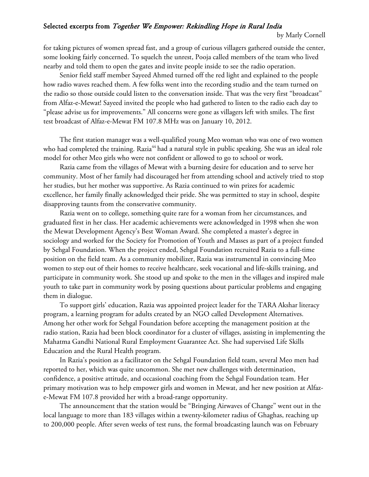by Marly Cornell

for taking pictures of women spread fast, and a group of curious villagers gathered outside the center, some looking fairly concerned. To squelch the unrest, Pooja called members of the team who lived nearby and told them to open the gates and invite people inside to see the radio operation.

Senior field staff member Sayeed Ahmed turned off the red light and explained to the people how radio waves reached them. A few folks went into the recording studio and the team turned on the radio so those outside could listen to the conversation inside. That was the very first ''broadcast'' from Alfaz-e-Mewat! Sayeed invited the people who had gathered to listen to the radio each day to "please advise us for improvements." All concerns were gone as villagers left with smiles. The first test broadcast of Alfaz-e-Mewat FM 107.8 MHz was on January 10, 2012.

The first station manager was a well-qualified young Meo woman who was one of two women who had completed the training. Razia<sup>44</sup> had a natural style in public speaking. She was an ideal role model for other Meo girls who were not confident or allowed to go to school or work.

Razia came from the villages of Mewat with a burning desire for education and to serve her community. Most of her family had discouraged her from attending school and actively tried to stop her studies, but her mother was supportive. As Razia continued to win prizes for academic excellence, her family finally acknowledged their pride. She was permitted to stay in school, despite disapproving taunts from the conservative community.

Razia went on to college, something quite rare for a woman from her circumstances, and graduated first in her class. Her academic achievements were acknowledged in 1998 when she won the Mewat Development Agency's Best Woman Award. She completed a master's degree in sociology and worked for the Society for Promotion of Youth and Masses as part of a project funded by Sehgal Foundation. When the project ended, Sehgal Foundation recruited Razia to a full-time position on the field team. As a community mobilizer, Razia was instrumental in convincing Meo women to step out of their homes to receive healthcare, seek vocational and life-skills training, and participate in community work. She stood up and spoke to the men in the villages and inspired male youth to take part in community work by posing questions about particular problems and engaging them in dialogue.

To support girls' education, Razia was appointed project leader for the TARA Akshar literacy program, a learning program for adults created by an NGO called Development Alternatives. Among her other work for Sehgal Foundation before accepting the management position at the radio station, Razia had been block coordinator for a cluster of villages, assisting in implementing the Mahatma Gandhi National Rural Employment Guarantee Act. She had supervised Life Skills Education and the Rural Health program.

In Razia's position as a facilitator on the Sehgal Foundation field team, several Meo men had reported to her, which was quite uncommon. She met new challenges with determination, confidence, a positive attitude, and occasional coaching from the Sehgal Foundation team. Her primary motivation was to help empower girls and women in Mewat, and her new position at Alfaze-Mewat FM 107.8 provided her with a broad-range opportunity.

The announcement that the station would be ''Bringing Airwaves of Change'' went out in the local language to more than 183 villages within a twenty-kilometer radius of Ghaghas, reaching up to 200,000 people. After seven weeks of test runs, the formal broadcasting launch was on February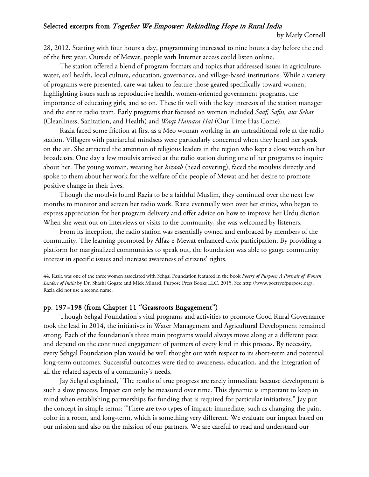by Marly Cornell

28, 2012. Starting with four hours a day, programming increased to nine hours a day before the end of the first year. Outside of Mewat, people with Internet access could listen online.

The station offered a blend of program formats and topics that addressed issues in agriculture, water, soil health, local culture, education, governance, and village-based institutions. While a variety of programs were presented, care was taken to feature those geared specifically toward women, highlighting issues such as reproductive health, women-oriented government programs, the importance of educating girls, and so on. These fit well with the key interests of the station manager and the entire radio team. Early programs that focused on women included *Saaf, Safai, aur Sehat*  (Cleanliness, Sanitation, and Health) and *Waqt Hamara Hai* (Our Time Has Come).

Razia faced some friction at first as a Meo woman working in an untraditional role at the radio station. Villagers with patriarchal mindsets were particularly concerned when they heard her speak on the air. She attracted the attention of religious leaders in the region who kept a close watch on her broadcasts. One day a few moulvis arrived at the radio station during one of her programs to inquire about her. The young woman, wearing her *hizaab* (head covering), faced the moulvis directly and spoke to them about her work for the welfare of the people of Mewat and her desire to promote positive change in their lives.

Though the moulvis found Razia to be a faithful Muslim, they continued over the next few months to monitor and screen her radio work. Razia eventually won over her critics, who began to express appreciation for her program delivery and offer advice on how to improve her Urdu diction. When she went out on interviews or visits to the community, she was welcomed by listeners.

From its inception, the radio station was essentially owned and embraced by members of the community. The learning promoted by Alfaz-e-Mewat enhanced civic participation. By providing a platform for marginalized communities to speak out, the foundation was able to gauge community interest in specific issues and increase awareness of citizens' rights.

44. Razia was one of the three women associated with Sehgal Foundation featured in the book *Poetry of Purpose: A Portrait of Women Leaders of India* by Dr. Shashi Gogate and Mick Minard, Purpose Press Books LLC, 2015. See http://www.poetryofpurpose.org/. Razia did not use a second name.

#### pp. 197--198 (from Chapter 11 ''Grassroots Engagement'')

Though Sehgal Foundation's vital programs and activities to promote Good Rural Governance took the lead in 2014, the initiatives in Water Management and Agricultural Development remained strong. Each of the foundation's three main programs would always move along at a different pace and depend on the continued engagement of partners of every kind in this process. By necessity, every Sehgal Foundation plan would be well thought out with respect to its short-term and potential long-term outcomes. Successful outcomes were tied to awareness, education, and the integration of all the related aspects of a community's needs.

Jay Sehgal explained, ''The results of true progress are rarely immediate because development is such a slow process. Impact can only be measured over time. This dynamic is important to keep in mind when establishing partnerships for funding that is required for particular initiatives.'' Jay put the concept in simple terms: ''There are two types of impact: immediate, such as changing the paint color in a room, and long-term, which is something very different. We evaluate our impact based on our mission and also on the mission of our partners. We are careful to read and understand our